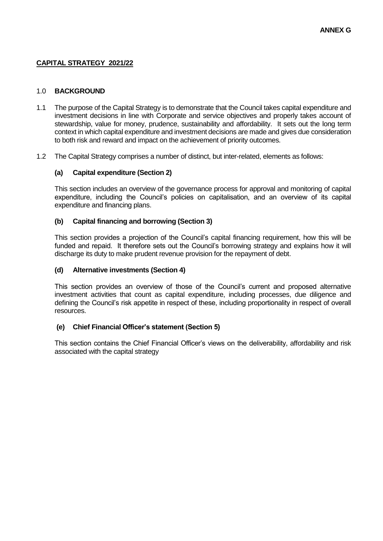# **CAPITAL STRATEGY 2021/22**

### 1.0 **BACKGROUND**

- 1.1 The purpose of the Capital Strategy is to demonstrate that the Council takes capital expenditure and investment decisions in line with Corporate and service objectives and properly takes account of stewardship, value for money, prudence, sustainability and affordability. It sets out the long term context in which capital expenditure and investment decisions are made and gives due consideration to both risk and reward and impact on the achievement of priority outcomes.
- 1.2 The Capital Strategy comprises a number of distinct, but inter-related, elements as follows:

## **(a) Capital expenditure (Section 2)**

This section includes an overview of the governance process for approval and monitoring of capital expenditure, including the Council's policies on capitalisation, and an overview of its capital expenditure and financing plans.

## **(b) Capital financing and borrowing (Section 3)**

This section provides a projection of the Council's capital financing requirement, how this will be funded and repaid. It therefore sets out the Council's borrowing strategy and explains how it will discharge its duty to make prudent revenue provision for the repayment of debt.

## **(d) Alternative investments (Section 4)**

This section provides an overview of those of the Council's current and proposed alternative investment activities that count as capital expenditure, including processes, due diligence and defining the Council's risk appetite in respect of these, including proportionality in respect of overall resources.

## **(e) Chief Financial Officer's statement (Section 5)**

This section contains the Chief Financial Officer's views on the deliverability, affordability and risk associated with the capital strategy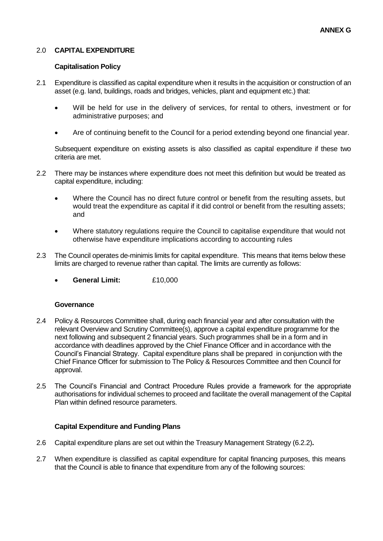## 2.0 **CAPITAL EXPENDITURE**

### **Capitalisation Policy**

- 2.1 Expenditure is classified as capital expenditure when it results in the acquisition or construction of an asset (e.g. land, buildings, roads and bridges, vehicles, plant and equipment etc.) that:
	- Will be held for use in the delivery of services, for rental to others, investment or for administrative purposes; and
	- Are of continuing benefit to the Council for a period extending beyond one financial year.

Subsequent expenditure on existing assets is also classified as capital expenditure if these two criteria are met.

- 2.2 There may be instances where expenditure does not meet this definition but would be treated as capital expenditure, including:
	- Where the Council has no direct future control or benefit from the resulting assets, but would treat the expenditure as capital if it did control or benefit from the resulting assets; and
	- Where statutory regulations require the Council to capitalise expenditure that would not otherwise have expenditure implications according to accounting rules
- 2.3 The Council operates de-minimis limits for capital expenditure. This means that items below these limits are charged to revenue rather than capital. The limits are currently as follows:
	- **General Limit:** £10,000

### **Governance**

- 2.4 Policy & Resources Committee shall, during each financial year and after consultation with the relevant Overview and Scrutiny Committee(s), approve a capital expenditure programme for the next following and subsequent 2 financial years. Such programmes shall be in a form and in accordance with deadlines approved by the Chief Finance Officer and in accordance with the Council's Financial Strategy. Capital expenditure plans shall be prepared in conjunction with the Chief Finance Officer for submission to The Policy & Resources Committee and then Council for approval.
- 2.5 The Council's Financial and Contract Procedure Rules provide a framework for the appropriate authorisations for individual schemes to proceed and facilitate the overall management of the Capital Plan within defined resource parameters.

### **Capital Expenditure and Funding Plans**

- 2.6 Capital expenditure plans are set out within the Treasury Management Strategy (6.2.2)**.**
- 2.7 When expenditure is classified as capital expenditure for capital financing purposes, this means that the Council is able to finance that expenditure from any of the following sources: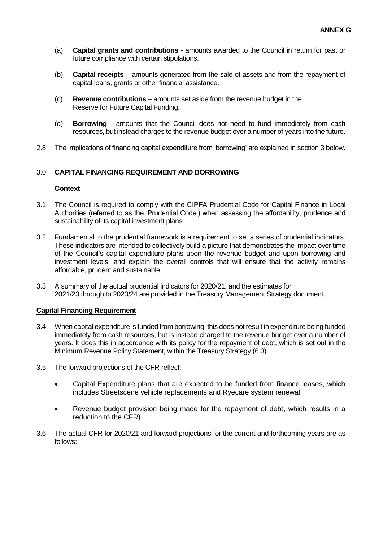- (a) **Capital grants and contributions**  amounts awarded to the Council in return for past or future compliance with certain stipulations.
- (b) **Capital receipts**  amounts generated from the sale of assets and from the repayment of capital loans, grants or other financial assistance.
- (c) **Revenue contributions**  amounts set aside from the revenue budget in the Reserve for Future Capital Funding.
- (d) **Borrowing**  amounts that the Council does not need to fund immediately from cash resources, but instead charges to the revenue budget over a number of years into the future.
- 2.8 The implications of financing capital expenditure from 'borrowing' are explained in section 3 below.

## 3.0 **CAPITAL FINANCING REQUIREMENT AND BORROWING**

### **Context**

- 3.1 The Council is required to comply with the CIPFA Prudential Code for Capital Finance in Local Authorities (referred to as the 'Prudential Code') when assessing the affordability, prudence and sustainability of its capital investment plans.
- 3.2 Fundamental to the prudential framework is a requirement to set a series of prudential indicators. These indicators are intended to collectively build a picture that demonstrates the impact over time of the Council's capital expenditure plans upon the revenue budget and upon borrowing and investment levels, and explain the overall controls that will ensure that the activity remains affordable, prudent and sustainable.
- 3.3 A summary of the actual prudential indicators for 2020/21, and the estimates for 2021/23 through to 2023/24 are provided in the Treasury Management Strategy document..

## **Capital Financing Requirement**

- 3.4 When capital expenditure is funded from borrowing, this does not result in expenditure being funded immediately from cash resources, but is instead charged to the revenue budget over a number of years. It does this in accordance with its policy for the repayment of debt, which is set out in the Minimum Revenue Policy Statement, within the Treasury Strategy (6.3).
- 3.5 The forward projections of the CFR reflect:
	- Capital Expenditure plans that are expected to be funded from finance leases, which includes Streetscene vehicle replacements and Ryecare system renewal
	- Revenue budget provision being made for the repayment of debt, which results in a reduction to the CFR).
- 3.6 The actual CFR for 2020/21 and forward projections for the current and forthcoming years are as follows: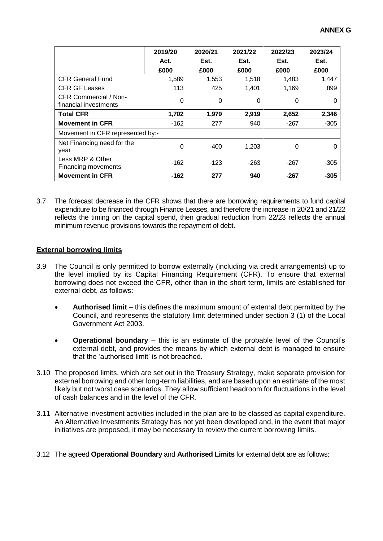|                                                       | 2019/20<br>Act.<br>£000 | 2020/21<br>Est.<br>£000 | 2021/22<br>Est.<br>£000 | 2022/23<br>Est.<br>£000 | 2023/24<br>Est.<br>£000 |  |
|-------------------------------------------------------|-------------------------|-------------------------|-------------------------|-------------------------|-------------------------|--|
| <b>CFR General Fund</b>                               | 1,589                   | 1,553                   | 1,518                   | 1,483                   | 1,447                   |  |
| <b>CFR GF Leases</b>                                  | 113                     | 425                     | 1.401                   | 1,169                   | 899                     |  |
| <b>CFR Commercial / Non-</b><br>financial investments | 0                       | 0                       | 0                       | 0                       |                         |  |
| <b>Total CFR</b>                                      | 1,702                   | 1,979                   | 2,919                   | 2,652                   | 2,346                   |  |
| <b>Movement in CFR</b>                                | $-162$                  | 277                     | 940                     | $-267$                  | $-305$                  |  |
| Movement in CFR represented by:-                      |                         |                         |                         |                         |                         |  |
| Net Financing need for the<br>year                    | 0                       | 400                     | 1,203                   | $\Omega$                | O                       |  |
| Less MRP & Other<br>Financing movements               | $-162$                  | $-123$                  | $-263$                  | $-267$                  | $-305$                  |  |
| <b>Movement in CFR</b>                                | $-162$                  | 277                     | 940                     | $-267$                  | $-305$                  |  |

3.7 The forecast decrease in the CFR shows that there are borrowing requirements to fund capital expenditure to be financed through Finance Leases, and therefore the increase in 20/21 and 21/22 reflects the timing on the capital spend, then gradual reduction from 22/23 reflects the annual minimum revenue provisions towards the repayment of debt.

## **External borrowing limits**

- 3.9 The Council is only permitted to borrow externally (including via credit arrangements) up to the level implied by its Capital Financing Requirement (CFR). To ensure that external borrowing does not exceed the CFR, other than in the short term, limits are established for external debt, as follows:
	- **Authorised limit**  this defines the maximum amount of external debt permitted by the Council, and represents the statutory limit determined under section 3 (1) of the Local Government Act 2003.
	- **Operational boundary** this is an estimate of the probable level of the Council's external debt, and provides the means by which external debt is managed to ensure that the 'authorised limit' is not breached.
- 3.10 The proposed limits, which are set out in the Treasury Strategy, make separate provision for external borrowing and other long-term liabilities, and are based upon an estimate of the most likely but not worst case scenarios. They allow sufficient headroom for fluctuations in the level of cash balances and in the level of the CFR.
- 3.11 Alternative investment activities included in the plan are to be classed as capital expenditure. An Alternative Investments Strategy has not yet been developed and, in the event that major initiatives are proposed, it may be necessary to review the current borrowing limits.

## 3.12 The agreed **Operational Boundary** and **Authorised Limits** for external debt are as follows: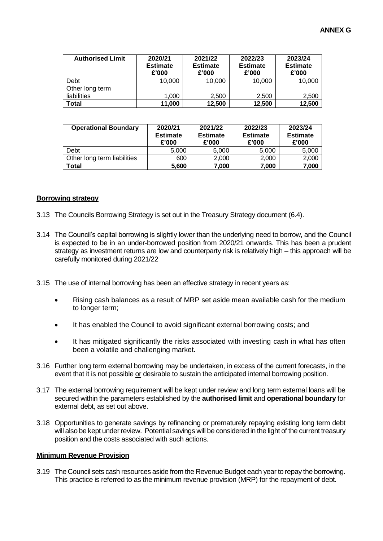| <b>Authorised Limit</b> | 2020/21<br><b>Estimate</b><br>£'000 | 2021/22<br><b>Estimate</b><br>£'000 | 2022/23<br><b>Estimate</b><br>£'000 | 2023/24<br><b>Estimate</b><br>£'000 |
|-------------------------|-------------------------------------|-------------------------------------|-------------------------------------|-------------------------------------|
| Debt                    | 10,000                              | 10,000                              | 10,000                              | 10,000                              |
| Other long term         |                                     |                                     |                                     |                                     |
| liabilities             | 1,000                               | 2,500                               | 2,500                               | 2,500                               |
| Total                   | 11,000                              | 12,500                              | 12,500                              | 12,500                              |

| <b>Operational Boundary</b> | 2020/21<br><b>Estimate</b><br>£'000 | 2021/22<br><b>Estimate</b><br>£'000 | 2022/23<br><b>Estimate</b><br>£'000 | 2023/24<br><b>Estimate</b><br>£'000 |
|-----------------------------|-------------------------------------|-------------------------------------|-------------------------------------|-------------------------------------|
| Debt                        | 5.000                               | 5.000                               | 5.000                               | 5,000                               |
| Other long term liabilities | 600                                 | 2,000                               | 2.000                               | 2,000                               |
| Total                       | 5,600                               | 7,000                               | 7,000                               | 7,000                               |

#### **Borrowing strategy**

- 3.13 The Councils Borrowing Strategy is set out in the Treasury Strategy document (6.4).
- 3.14 The Council's capital borrowing is slightly lower than the underlying need to borrow, and the Council is expected to be in an under-borrowed position from 2020/21 onwards. This has been a prudent strategy as investment returns are low and counterparty risk is relatively high – this approach will be carefully monitored during 2021/22
- 3.15 The use of internal borrowing has been an effective strategy in recent years as:
	- Rising cash balances as a result of MRP set aside mean available cash for the medium to longer term;
	- It has enabled the Council to avoid significant external borrowing costs; and
	- It has mitigated significantly the risks associated with investing cash in what has often been a volatile and challenging market.
- 3.16 Further long term external borrowing may be undertaken, in excess of the current forecasts, in the event that it is not possible or desirable to sustain the anticipated internal borrowing position.
- 3.17 The external borrowing requirement will be kept under review and long term external loans will be secured within the parameters established by the **authorised limit** and **operational boundary** for external debt, as set out above.
- 3.18 Opportunities to generate savings by refinancing or prematurely repaying existing long term debt will also be kept under review. Potential savings will be considered in the light of the current treasury position and the costs associated with such actions.

#### **Minimum Revenue Provision**

3.19 The Council sets cash resources aside from the Revenue Budget each year to repay the borrowing. This practice is referred to as the minimum revenue provision (MRP) for the repayment of debt.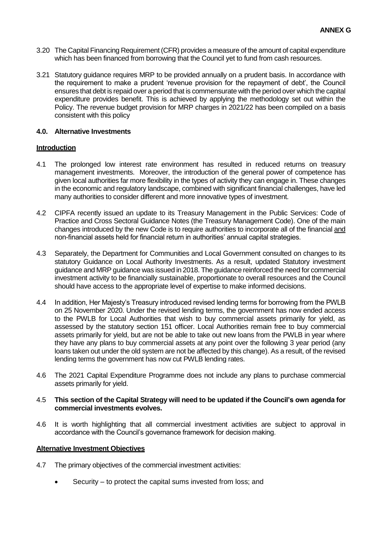- 3.20 The Capital Financing Requirement (CFR) provides a measure of the amount of capital expenditure which has been financed from borrowing that the Council yet to fund from cash resources.
- 3.21 Statutory guidance requires MRP to be provided annually on a prudent basis. In accordance with the requirement to make a prudent 'revenue provision for the repayment of debt', the Council ensures that debt is repaid over a period that is commensurate with the period over which the capital expenditure provides benefit. This is achieved by applying the methodology set out within the Policy. The revenue budget provision for MRP charges in 2021/22 has been compiled on a basis consistent with this policy

## **4.0. Alternative Investments**

## **Introduction**

- 4.1 The prolonged low interest rate environment has resulted in reduced returns on treasury management investments. Moreover, the introduction of the general power of competence has given local authorities far more flexibility in the types of activity they can engage in. These changes in the economic and regulatory landscape, combined with significant financial challenges, have led many authorities to consider different and more innovative types of investment.
- 4.2 CIPFA recently issued an update to its Treasury Management in the Public Services: Code of Practice and Cross Sectoral Guidance Notes (the Treasury Management Code). One of the main changes introduced by the new Code is to require authorities to incorporate all of the financial and non-financial assets held for financial return in authorities' annual capital strategies.
- 4.3 Separately, the Department for Communities and Local Government consulted on changes to its statutory Guidance on Local Authority Investments. As a result, updated Statutory investment guidance and MRP guidance was issued in 2018. The guidance reinforced the need for commercial investment activity to be financially sustainable, proportionate to overall resources and the Council should have access to the appropriate level of expertise to make informed decisions.
- 4.4 In addition, Her Majesty's Treasury introduced revised lending terms for borrowing from the PWLB on 25 November 2020. Under the revised lending terms, the government has now ended access to the PWLB for Local Authorities that wish to buy commercial assets primarily for yield, as assessed by the statutory section 151 officer. Local Authorities remain free to buy commercial assets primarily for yield, but are not be able to take out new loans from the PWLB in year where they have any plans to buy commercial assets at any point over the following 3 year period (any loans taken out under the old system are not be affected by this change). As a result, of the revised lending terms the government has now cut PWLB lending rates.
- 4.6 The 2021 Capital Expenditure Programme does not include any plans to purchase commercial assets primarily for yield.

### 4.5 **This section of the Capital Strategy will need to be updated if the Council's own agenda for commercial investments evolves.**

4.6 It is worth highlighting that all commercial investment activities are subject to approval in accordance with the Council's governance framework for decision making.

### **Alternative Investment Objectives**

- 4.7 The primary objectives of the commercial investment activities:
	- Security to protect the capital sums invested from loss; and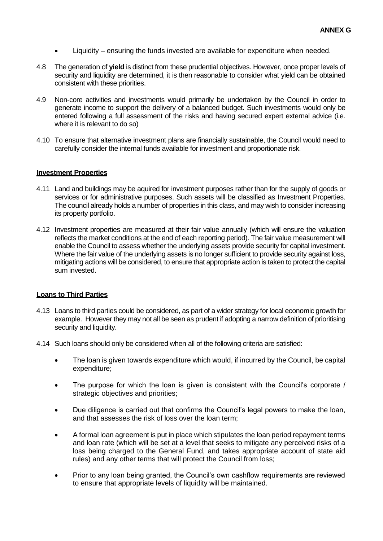- Liquidity ensuring the funds invested are available for expenditure when needed.
- 4.8 The generation of **yield** is distinct from these prudential objectives. However, once proper levels of security and liquidity are determined, it is then reasonable to consider what yield can be obtained consistent with these priorities.
- 4.9 Non-core activities and investments would primarily be undertaken by the Council in order to generate income to support the delivery of a balanced budget. Such investments would only be entered following a full assessment of the risks and having secured expert external advice (i.e. where it is relevant to do so)
- 4.10 To ensure that alternative investment plans are financially sustainable, the Council would need to carefully consider the internal funds available for investment and proportionate risk.

### **Investment Properties**

- 4.11 Land and buildings may be aquired for investment purposes rather than for the supply of goods or services or for administrative purposes. Such assets will be classified as Investment Properties. The council already holds a number of properties in this class, and may wish to consider increasing its property portfolio.
- 4.12 Investment properties are measured at their fair value annually (which will ensure the valuation reflects the market conditions at the end of each reporting period). The fair value measurement will enable the Council to assess whether the underlying assets provide security for capital investment. Where the fair value of the underlying assets is no longer sufficient to provide security against loss, mitigating actions will be considered, to ensure that appropriate action is taken to protect the capital sum invested.

### **Loans to Third Parties**

- 4.13 Loans to third parties could be considered, as part of a wider strategy for local economic growth for example. However they may not all be seen as prudent if adopting a narrow definition of prioritising security and liquidity.
- 4.14 Such loans should only be considered when all of the following criteria are satisfied:
	- The loan is given towards expenditure which would, if incurred by the Council, be capital expenditure;
	- The purpose for which the loan is given is consistent with the Council's corporate / strategic objectives and priorities;
	- Due diligence is carried out that confirms the Council's legal powers to make the loan, and that assesses the risk of loss over the loan term;
	- A formal loan agreement is put in place which stipulates the loan period repayment terms and loan rate (which will be set at a level that seeks to mitigate any perceived risks of a loss being charged to the General Fund, and takes appropriate account of state aid rules) and any other terms that will protect the Council from loss;
	- Prior to any loan being granted, the Council's own cashflow requirements are reviewed to ensure that appropriate levels of liquidity will be maintained.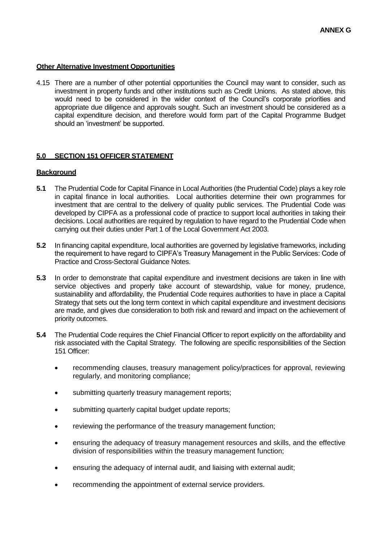## **Other Alternative Investment Opportunities**

4.15 There are a number of other potential opportunities the Council may want to consider, such as investment in property funds and other institutions such as Credit Unions. As stated above, this would need to be considered in the wider context of the Council's corporate priorities and appropriate due diligence and approvals sought. Such an investment should be considered as a capital expenditure decision, and therefore would form part of the Capital Programme Budget should an 'investment' be supported.

## **5.0 SECTION 151 OFFICER STATEMENT**

## **Background**

- **5.1** The Prudential Code for Capital Finance in Local Authorities (the Prudential Code) plays a key role in capital finance in local authorities. Local authorities determine their own programmes for investment that are central to the delivery of quality public services. The Prudential Code was developed by CIPFA as a professional code of practice to support local authorities in taking their decisions. Local authorities are required by regulation to have regard to the Prudential Code when carrying out their duties under Part 1 of the Local Government Act 2003.
- **5.2** In financing capital expenditure, local authorities are governed by legislative frameworks, including the requirement to have regard to CIPFA's Treasury Management in the Public Services: Code of Practice and Cross-Sectoral Guidance Notes.
- **5.3** In order to demonstrate that capital expenditure and investment decisions are taken in line with service objectives and properly take account of stewardship, value for money, prudence, sustainability and affordability, the Prudential Code requires authorities to have in place a Capital Strategy that sets out the long term context in which capital expenditure and investment decisions are made, and gives due consideration to both risk and reward and impact on the achievement of priority outcomes.
- **5.4** The Prudential Code requires the Chief Financial Officer to report explicitly on the affordability and risk associated with the Capital Strategy. The following are specific responsibilities of the Section 151 Officer:
	- recommending clauses, treasury management policy/practices for approval, reviewing regularly, and monitoring compliance;
	- submitting quarterly treasury management reports:
	- submitting quarterly capital budget update reports;
	- reviewing the performance of the treasury management function;
	- ensuring the adequacy of treasury management resources and skills, and the effective division of responsibilities within the treasury management function;
	- ensuring the adequacy of internal audit, and liaising with external audit;
	- recommending the appointment of external service providers.